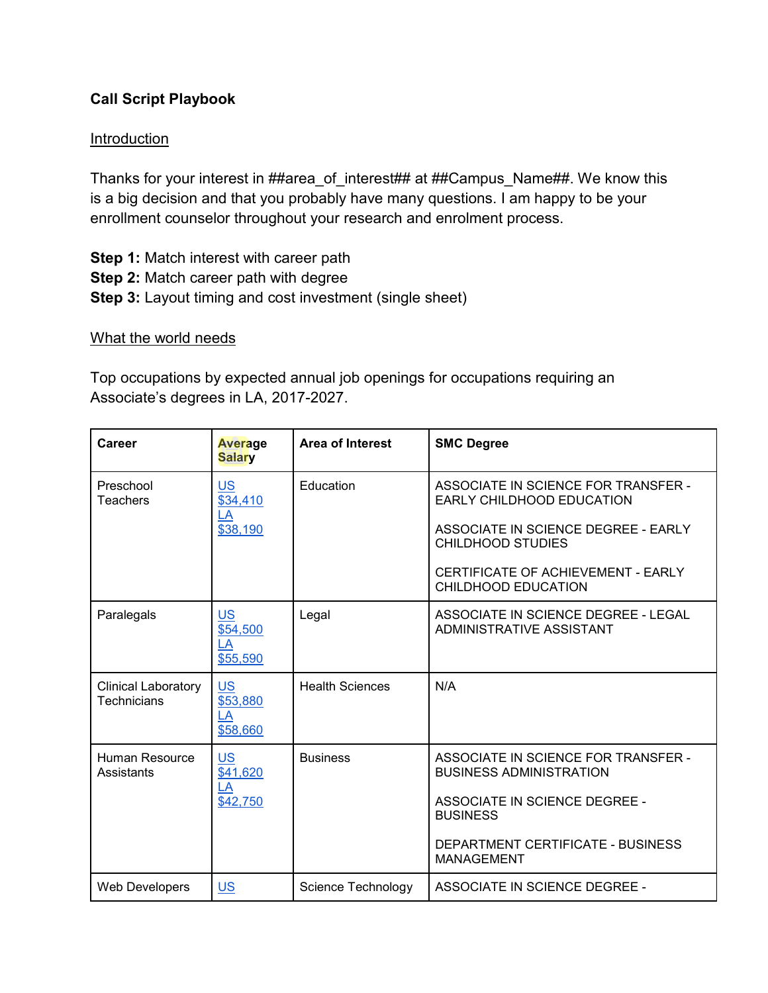## **Call Script Playbook**

## **Introduction**

Thanks for your interest in ##area\_of\_interest## at ##Campus\_Name##. We know this is a big decision and that you probably have many questions. I am happy to be your enrollment counselor throughout your research and enrolment process.

**Step 1:** Match interest with career path **Step 2:** Match career path with degree **Step 3:** Layout timing and cost investment (single sheet)

## What the world needs

Top occupations by expected annual job openings for occupations requiring an Associate's degrees in LA, 2017-2027.

| Career                                           | Average<br><b>Salary</b>                                               | <b>Area of Interest</b> | <b>SMC Degree</b>                                                     |
|--------------------------------------------------|------------------------------------------------------------------------|-------------------------|-----------------------------------------------------------------------|
| Preschool<br>Teachers<br>LA                      | <b>US</b><br>\$34,410                                                  | Education               | ASSOCIATE IN SCIENCE FOR TRANSFER -<br>EARLY CHILDHOOD EDUCATION      |
|                                                  | \$38,190                                                               |                         | ASSOCIATE IN SCIENCE DEGREE - EARLY<br><b>CHILDHOOD STUDIES</b>       |
|                                                  |                                                                        |                         | CERTIFICATE OF ACHIEVEMENT - EARLY<br>CHILDHOOD EDUCATION             |
| Paralegals                                       | <b>US</b><br>\$54,500<br>LA<br>\$55,590                                | Legal                   | ASSOCIATE IN SCIENCE DEGREE - LEGAL<br>ADMINISTRATIVE ASSISTANT       |
| <b>Clinical Laboratory</b><br><b>Technicians</b> | $US$<br>\$53,880<br>LA<br>\$58,660                                     | <b>Health Sciences</b>  | N/A                                                                   |
| <b>Human Resource</b><br>Assistants              | <b>US</b><br>\$41,620<br>$\overline{\mathsf{L}\mathsf{A}}$<br>\$42,750 | <b>Business</b>         | ASSOCIATE IN SCIENCE FOR TRANSFER -<br><b>BUSINESS ADMINISTRATION</b> |
|                                                  |                                                                        |                         | <b>ASSOCIATE IN SCIENCE DEGREE -</b><br><b>BUSINESS</b>               |
|                                                  |                                                                        |                         | DEPARTMENT CERTIFICATE - BUSINESS<br><b>MANAGEMENT</b>                |
| Web Developers                                   | $US$                                                                   | Science Technology      | ASSOCIATE IN SCIENCE DEGREE -                                         |